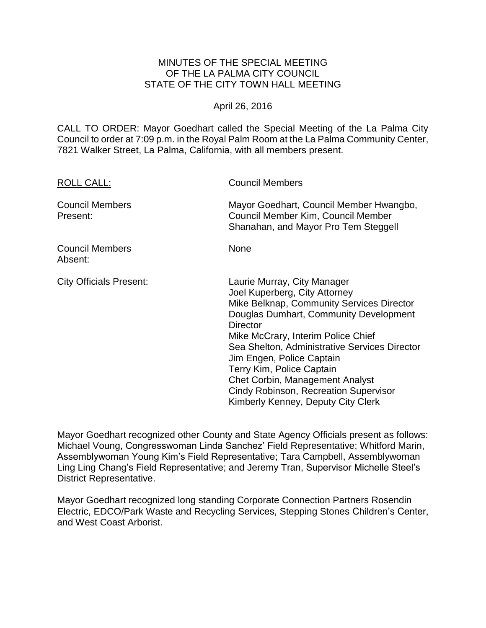# MINUTES OF THE SPECIAL MEETING OF THE LA PALMA CITY COUNCIL STATE OF THE CITY TOWN HALL MEETING

## April 26, 2016

CALL TO ORDER: Mayor Goedhart called the Special Meeting of the La Palma City Council to order at 7:09 p.m. in the Royal Palm Room at the La Palma Community Center, 7821 Walker Street, La Palma, California, with all members present.

| <b>ROLL CALL:</b>                  | <b>Council Members</b>                                                                                                                                                                                                                                                                                                                                                                                                                                  |
|------------------------------------|---------------------------------------------------------------------------------------------------------------------------------------------------------------------------------------------------------------------------------------------------------------------------------------------------------------------------------------------------------------------------------------------------------------------------------------------------------|
| <b>Council Members</b><br>Present: | Mayor Goedhart, Council Member Hwangbo,<br>Council Member Kim, Council Member<br>Shanahan, and Mayor Pro Tem Steggell                                                                                                                                                                                                                                                                                                                                   |
| <b>Council Members</b><br>Absent:  | <b>None</b>                                                                                                                                                                                                                                                                                                                                                                                                                                             |
| <b>City Officials Present:</b>     | Laurie Murray, City Manager<br>Joel Kuperberg, City Attorney<br>Mike Belknap, Community Services Director<br>Douglas Dumhart, Community Development<br><b>Director</b><br>Mike McCrary, Interim Police Chief<br>Sea Shelton, Administrative Services Director<br>Jim Engen, Police Captain<br>Terry Kim, Police Captain<br><b>Chet Corbin, Management Analyst</b><br><b>Cindy Robinson, Recreation Supervisor</b><br>Kimberly Kenney, Deputy City Clerk |

Mayor Goedhart recognized other County and State Agency Officials present as follows: Michael Voung, Congresswoman Linda Sanchez' Field Representative; Whitford Marin, Assemblywoman Young Kim's Field Representative; Tara Campbell, Assemblywoman Ling Ling Chang's Field Representative; and Jeremy Tran, Supervisor Michelle Steel's District Representative.

Mayor Goedhart recognized long standing Corporate Connection Partners Rosendin Electric, EDCO/Park Waste and Recycling Services, Stepping Stones Children's Center, and West Coast Arborist.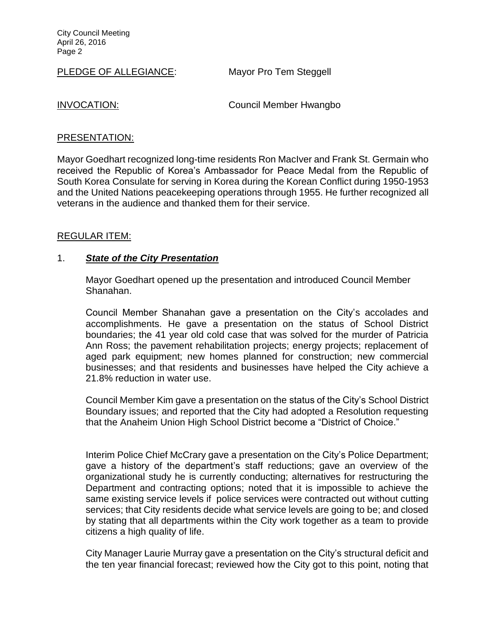City Council Meeting April 26, 2016 Page 2

PLEDGE OF ALLEGIANCE: Mayor Pro Tem Steggell

INVOCATION: Council Member Hwangbo

### PRESENTATION:

Mayor Goedhart recognized long-time residents Ron MacIver and Frank St. Germain who received the Republic of Korea's Ambassador for Peace Medal from the Republic of South Korea Consulate for serving in Korea during the Korean Conflict during 1950-1953 and the United Nations peacekeeping operations through 1955. He further recognized all veterans in the audience and thanked them for their service.

#### REGULAR ITEM:

## 1. *State of the City Presentation*

Mayor Goedhart opened up the presentation and introduced Council Member Shanahan.

Council Member Shanahan gave a presentation on the City's accolades and accomplishments. He gave a presentation on the status of School District boundaries; the 41 year old cold case that was solved for the murder of Patricia Ann Ross; the pavement rehabilitation projects; energy projects; replacement of aged park equipment; new homes planned for construction; new commercial businesses; and that residents and businesses have helped the City achieve a 21.8% reduction in water use.

Council Member Kim gave a presentation on the status of the City's School District Boundary issues; and reported that the City had adopted a Resolution requesting that the Anaheim Union High School District become a "District of Choice."

Interim Police Chief McCrary gave a presentation on the City's Police Department; gave a history of the department's staff reductions; gave an overview of the organizational study he is currently conducting; alternatives for restructuring the Department and contracting options; noted that it is impossible to achieve the same existing service levels if police services were contracted out without cutting services; that City residents decide what service levels are going to be; and closed by stating that all departments within the City work together as a team to provide citizens a high quality of life.

City Manager Laurie Murray gave a presentation on the City's structural deficit and the ten year financial forecast; reviewed how the City got to this point, noting that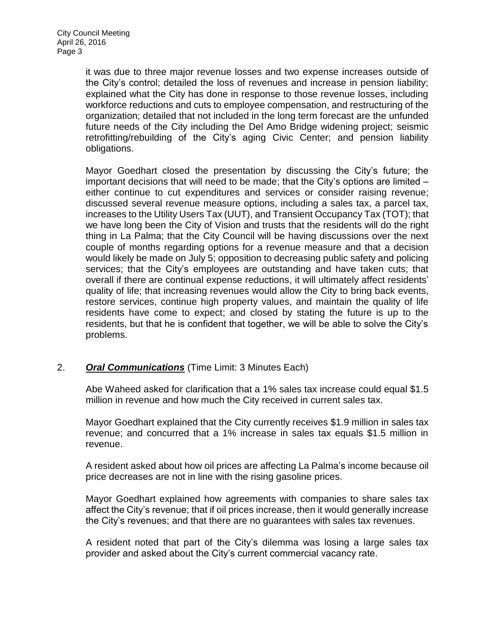it was due to three major revenue losses and two expense increases outside of the City's control; detailed the loss of revenues and increase in pension liability; explained what the City has done in response to those revenue losses, including workforce reductions and cuts to employee compensation, and restructuring of the organization; detailed that not included in the long term forecast are the unfunded future needs of the City including the Del Amo Bridge widening project; seismic retrofitting/rebuilding of the City's aging Civic Center; and pension liability obligations.

Mayor Goedhart closed the presentation by discussing the City's future; the important decisions that will need to be made; that the City's options are limited – either continue to cut expenditures and services or consider raising revenue; discussed several revenue measure options, including a sales tax, a parcel tax, increases to the Utility Users Tax (UUT), and Transient Occupancy Tax (TOT); that we have long been the City of Vision and trusts that the residents will do the right thing in La Palma; that the City Council will be having discussions over the next couple of months regarding options for a revenue measure and that a decision would likely be made on July 5; opposition to decreasing public safety and policing services; that the City's employees are outstanding and have taken cuts; that overall if there are continual expense reductions, it will ultimately affect residents' quality of life; that increasing revenues would allow the City to bring back events, restore services, continue high property values, and maintain the quality of life residents have come to expect; and closed by stating the future is up to the residents, but that he is confident that together, we will be able to solve the City's problems.

# 2. *Oral Communications* (Time Limit: 3 Minutes Each)

Abe Waheed asked for clarification that a 1% sales tax increase could equal \$1.5 million in revenue and how much the City received in current sales tax.

Mayor Goedhart explained that the City currently receives \$1.9 million in sales tax revenue; and concurred that a 1% increase in sales tax equals \$1.5 million in revenue.

A resident asked about how oil prices are affecting La Palma's income because oil price decreases are not in line with the rising gasoline prices.

Mayor Goedhart explained how agreements with companies to share sales tax affect the City's revenue; that if oil prices increase, then it would generally increase the City's revenues; and that there are no guarantees with sales tax revenues.

A resident noted that part of the City's dilemma was losing a large sales tax provider and asked about the City's current commercial vacancy rate.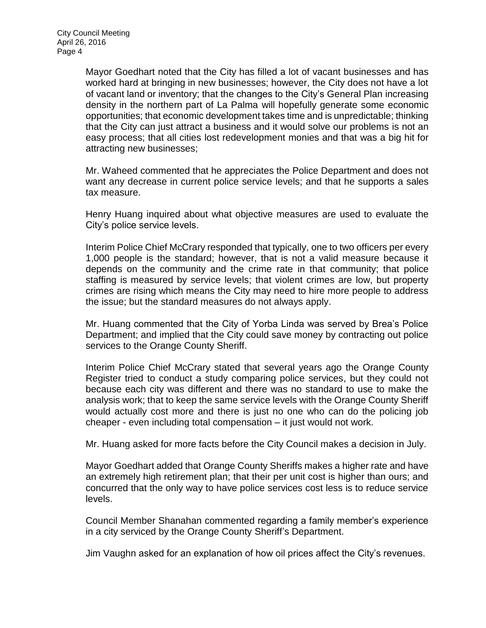Mayor Goedhart noted that the City has filled a lot of vacant businesses and has worked hard at bringing in new businesses; however, the City does not have a lot of vacant land or inventory; that the changes to the City's General Plan increasing density in the northern part of La Palma will hopefully generate some economic opportunities; that economic development takes time and is unpredictable; thinking that the City can just attract a business and it would solve our problems is not an easy process; that all cities lost redevelopment monies and that was a big hit for attracting new businesses;

Mr. Waheed commented that he appreciates the Police Department and does not want any decrease in current police service levels; and that he supports a sales tax measure.

Henry Huang inquired about what objective measures are used to evaluate the City's police service levels.

Interim Police Chief McCrary responded that typically, one to two officers per every 1,000 people is the standard; however, that is not a valid measure because it depends on the community and the crime rate in that community; that police staffing is measured by service levels; that violent crimes are low, but property crimes are rising which means the City may need to hire more people to address the issue; but the standard measures do not always apply.

Mr. Huang commented that the City of Yorba Linda was served by Brea's Police Department; and implied that the City could save money by contracting out police services to the Orange County Sheriff.

Interim Police Chief McCrary stated that several years ago the Orange County Register tried to conduct a study comparing police services, but they could not because each city was different and there was no standard to use to make the analysis work; that to keep the same service levels with the Orange County Sheriff would actually cost more and there is just no one who can do the policing job cheaper - even including total compensation – it just would not work.

Mr. Huang asked for more facts before the City Council makes a decision in July.

Mayor Goedhart added that Orange County Sheriffs makes a higher rate and have an extremely high retirement plan; that their per unit cost is higher than ours; and concurred that the only way to have police services cost less is to reduce service levels.

Council Member Shanahan commented regarding a family member's experience in a city serviced by the Orange County Sheriff's Department.

Jim Vaughn asked for an explanation of how oil prices affect the City's revenues.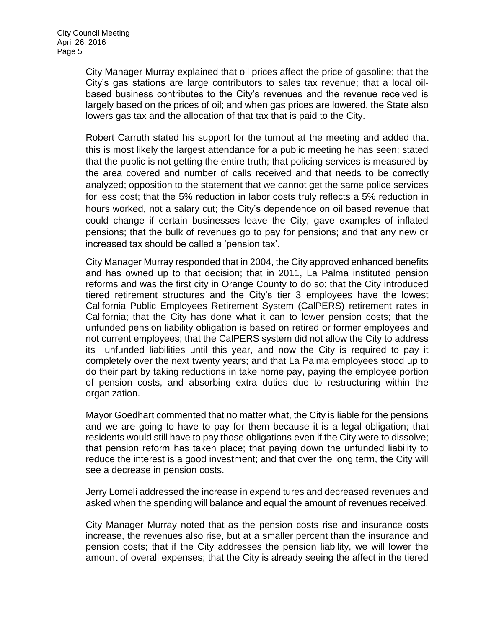City Manager Murray explained that oil prices affect the price of gasoline; that the City's gas stations are large contributors to sales tax revenue; that a local oilbased business contributes to the City's revenues and the revenue received is largely based on the prices of oil; and when gas prices are lowered, the State also lowers gas tax and the allocation of that tax that is paid to the City.

Robert Carruth stated his support for the turnout at the meeting and added that this is most likely the largest attendance for a public meeting he has seen; stated that the public is not getting the entire truth; that policing services is measured by the area covered and number of calls received and that needs to be correctly analyzed; opposition to the statement that we cannot get the same police services for less cost; that the 5% reduction in labor costs truly reflects a 5% reduction in hours worked, not a salary cut; the City's dependence on oil based revenue that could change if certain businesses leave the City; gave examples of inflated pensions; that the bulk of revenues go to pay for pensions; and that any new or increased tax should be called a 'pension tax'.

City Manager Murray responded that in 2004, the City approved enhanced benefits and has owned up to that decision; that in 2011, La Palma instituted pension reforms and was the first city in Orange County to do so; that the City introduced tiered retirement structures and the City's tier 3 employees have the lowest California Public Employees Retirement System (CalPERS) retirement rates in California; that the City has done what it can to lower pension costs; that the unfunded pension liability obligation is based on retired or former employees and not current employees; that the CalPERS system did not allow the City to address its unfunded liabilities until this year, and now the City is required to pay it completely over the next twenty years; and that La Palma employees stood up to do their part by taking reductions in take home pay, paying the employee portion of pension costs, and absorbing extra duties due to restructuring within the organization.

Mayor Goedhart commented that no matter what, the City is liable for the pensions and we are going to have to pay for them because it is a legal obligation; that residents would still have to pay those obligations even if the City were to dissolve; that pension reform has taken place; that paying down the unfunded liability to reduce the interest is a good investment; and that over the long term, the City will see a decrease in pension costs.

Jerry Lomeli addressed the increase in expenditures and decreased revenues and asked when the spending will balance and equal the amount of revenues received.

City Manager Murray noted that as the pension costs rise and insurance costs increase, the revenues also rise, but at a smaller percent than the insurance and pension costs; that if the City addresses the pension liability, we will lower the amount of overall expenses; that the City is already seeing the affect in the tiered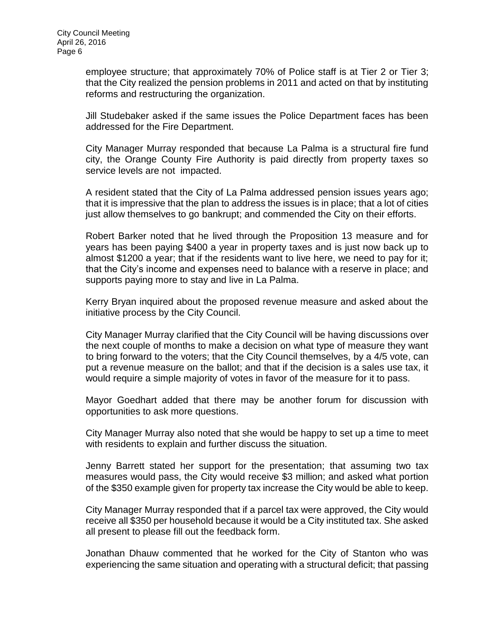employee structure; that approximately 70% of Police staff is at Tier 2 or Tier 3; that the City realized the pension problems in 2011 and acted on that by instituting reforms and restructuring the organization.

Jill Studebaker asked if the same issues the Police Department faces has been addressed for the Fire Department.

City Manager Murray responded that because La Palma is a structural fire fund city, the Orange County Fire Authority is paid directly from property taxes so service levels are not impacted.

A resident stated that the City of La Palma addressed pension issues years ago; that it is impressive that the plan to address the issues is in place; that a lot of cities just allow themselves to go bankrupt; and commended the City on their efforts.

Robert Barker noted that he lived through the Proposition 13 measure and for years has been paying \$400 a year in property taxes and is just now back up to almost \$1200 a year; that if the residents want to live here, we need to pay for it; that the City's income and expenses need to balance with a reserve in place; and supports paying more to stay and live in La Palma.

Kerry Bryan inquired about the proposed revenue measure and asked about the initiative process by the City Council.

City Manager Murray clarified that the City Council will be having discussions over the next couple of months to make a decision on what type of measure they want to bring forward to the voters; that the City Council themselves, by a 4/5 vote, can put a revenue measure on the ballot; and that if the decision is a sales use tax, it would require a simple majority of votes in favor of the measure for it to pass.

Mayor Goedhart added that there may be another forum for discussion with opportunities to ask more questions.

City Manager Murray also noted that she would be happy to set up a time to meet with residents to explain and further discuss the situation.

Jenny Barrett stated her support for the presentation; that assuming two tax measures would pass, the City would receive \$3 million; and asked what portion of the \$350 example given for property tax increase the City would be able to keep.

City Manager Murray responded that if a parcel tax were approved, the City would receive all \$350 per household because it would be a City instituted tax. She asked all present to please fill out the feedback form.

Jonathan Dhauw commented that he worked for the City of Stanton who was experiencing the same situation and operating with a structural deficit; that passing